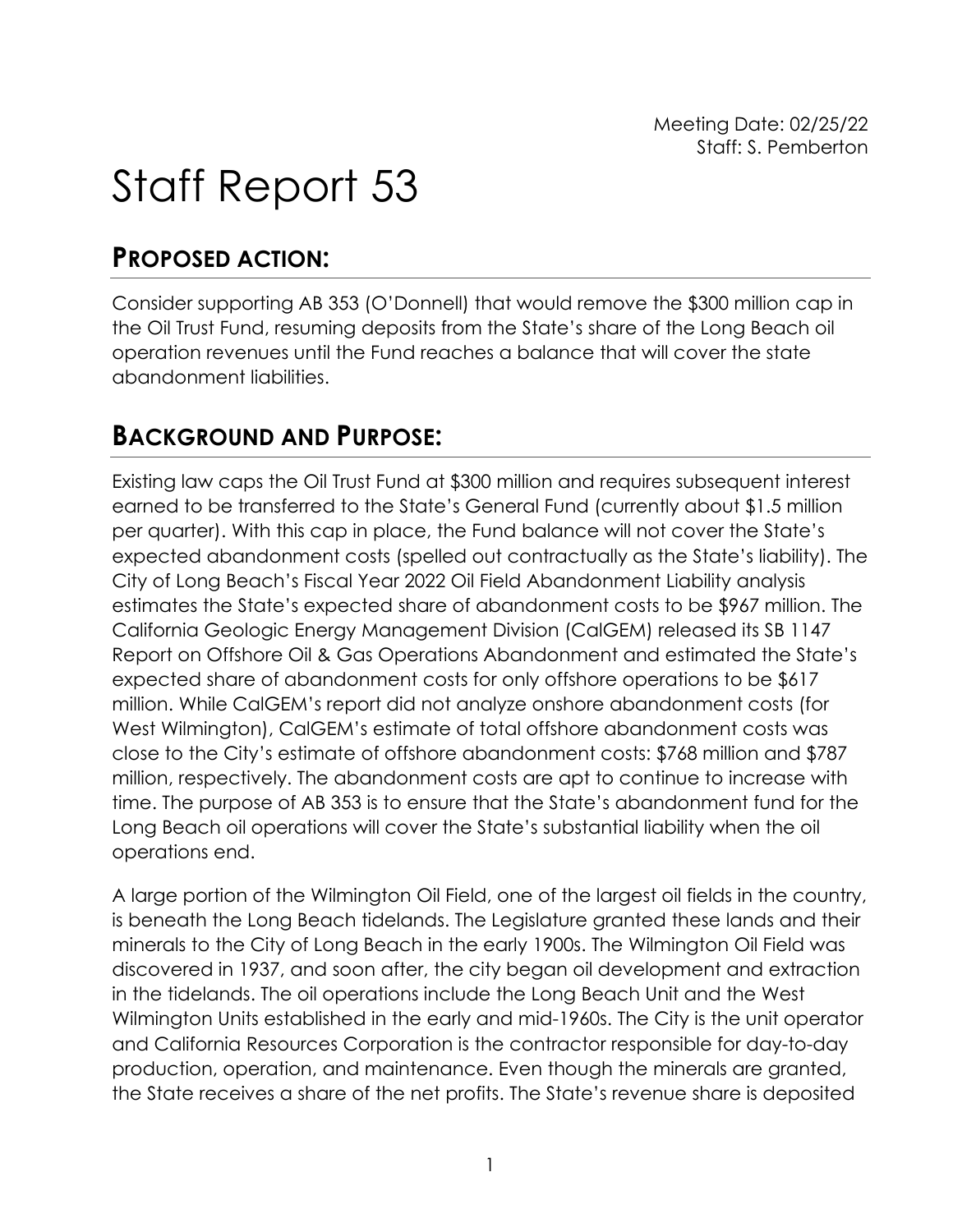Meeting Date: 02/25/22 Staff: S. Pemberton

# Staff Report 53

# **PROPOSED ACTION:**

Consider supporting AB 353 (O'Donnell) that would remove the \$300 million cap in the Oil Trust Fund, resuming deposits from the State's share of the Long Beach oil operation revenues until the Fund reaches a balance that will cover the state abandonment liabilities.

# **BACKGROUND AND PURPOSE:**

Existing law caps the Oil Trust Fund at \$300 million and requires subsequent interest earned to be transferred to the State's General Fund (currently about \$1.5 million per quarter). With this cap in place, the Fund balance will not cover the State's expected abandonment costs (spelled out contractually as the State's liability). The City of Long Beach's Fiscal Year 2022 Oil Field Abandonment Liability analysis estimates the State's expected share of abandonment costs to be \$967 million. The California Geologic Energy Management Division (CalGEM) released its SB 1147 Report on Offshore Oil & Gas Operations Abandonment and estimated the State's expected share of abandonment costs for only offshore operations to be \$617 million. While CalGEM's report did not analyze onshore abandonment costs (for West Wilmington), CalGEM's estimate of total offshore abandonment costs was close to the City's estimate of offshore abandonment costs: \$768 million and \$787 million, respectively. The abandonment costs are apt to continue to increase with time. The purpose of AB 353 is to ensure that the State's abandonment fund for the Long Beach oil operations will cover the State's substantial liability when the oil operations end.

A large portion of the Wilmington Oil Field, one of the largest oil fields in the country, is beneath the Long Beach tidelands. The Legislature granted these lands and their minerals to the City of Long Beach in the early 1900s. The Wilmington Oil Field was discovered in 1937, and soon after, the city began oil development and extraction in the tidelands. The oil operations include the Long Beach Unit and the West Wilmington Units established in the early and mid-1960s. The City is the unit operator and California Resources Corporation is the contractor responsible for day-to-day production, operation, and maintenance. Even though the minerals are granted, the State receives a share of the net profits. The State's revenue share is deposited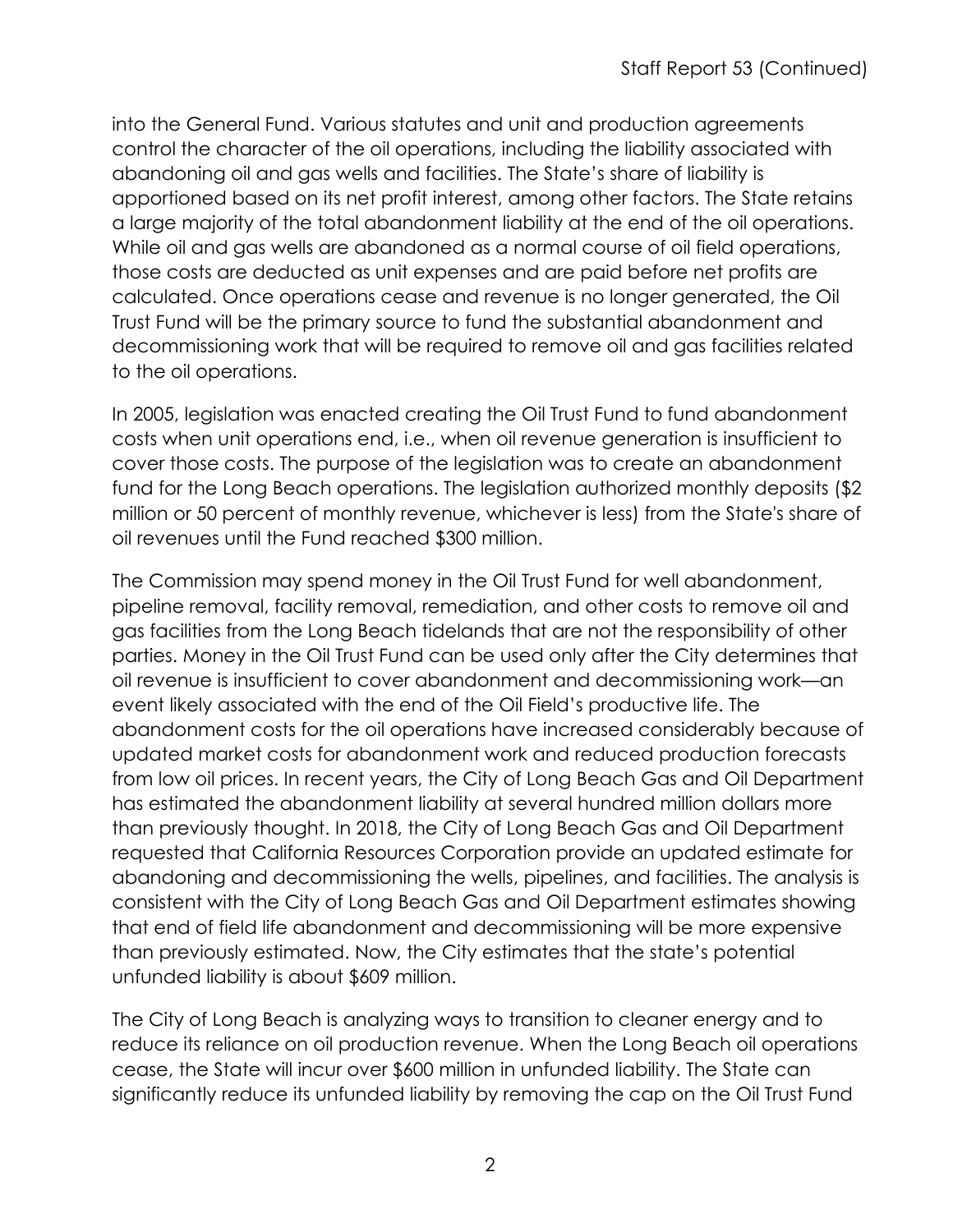into the General Fund. Various statutes and unit and production agreements control the character of the oil operations, including the liability associated with abandoning oil and gas wells and facilities. The State's share of liability is apportioned based on its net profit interest, among other factors. The State retains a large majority of the total abandonment liability at the end of the oil operations. While oil and gas wells are abandoned as a normal course of oil field operations, those costs are deducted as unit expenses and are paid before net profits are calculated. Once operations cease and revenue is no longer generated, the Oil Trust Fund will be the primary source to fund the substantial abandonment and decommissioning work that will be required to remove oil and gas facilities related to the oil operations.

In 2005, legislation was enacted creating the Oil Trust Fund to fund abandonment costs when unit operations end, i.e., when oil revenue generation is insufficient to cover those costs. The purpose of the legislation was to create an abandonment fund for the Long Beach operations. The legislation authorized monthly deposits (\$2 million or 50 percent of monthly revenue, whichever is less) from the State's share of oil revenues until the Fund reached \$300 million.

The Commission may spend money in the Oil Trust Fund for well abandonment, pipeline removal, facility removal, remediation, and other costs to remove oil and gas facilities from the Long Beach tidelands that are not the responsibility of other parties. Money in the Oil Trust Fund can be used only after the City determines that oil revenue is insufficient to cover abandonment and decommissioning work—an event likely associated with the end of the Oil Field's productive life. The abandonment costs for the oil operations have increased considerably because of updated market costs for abandonment work and reduced production forecasts from low oil prices. In recent years, the City of Long Beach Gas and Oil Department has estimated the abandonment liability at several hundred million dollars more than previously thought. In 2018, the City of Long Beach Gas and Oil Department requested that California Resources Corporation provide an updated estimate for abandoning and decommissioning the wells, pipelines, and facilities. The analysis is consistent with the City of Long Beach Gas and Oil Department estimates showing that end of field life abandonment and decommissioning will be more expensive than previously estimated. Now, the City estimates that the state's potential unfunded liability is about \$609 million.

The City of Long Beach is analyzing ways to transition to cleaner energy and to reduce its reliance on oil production revenue. When the Long Beach oil operations cease, the State will incur over \$600 million in unfunded liability. The State can significantly reduce its unfunded liability by removing the cap on the Oil Trust Fund